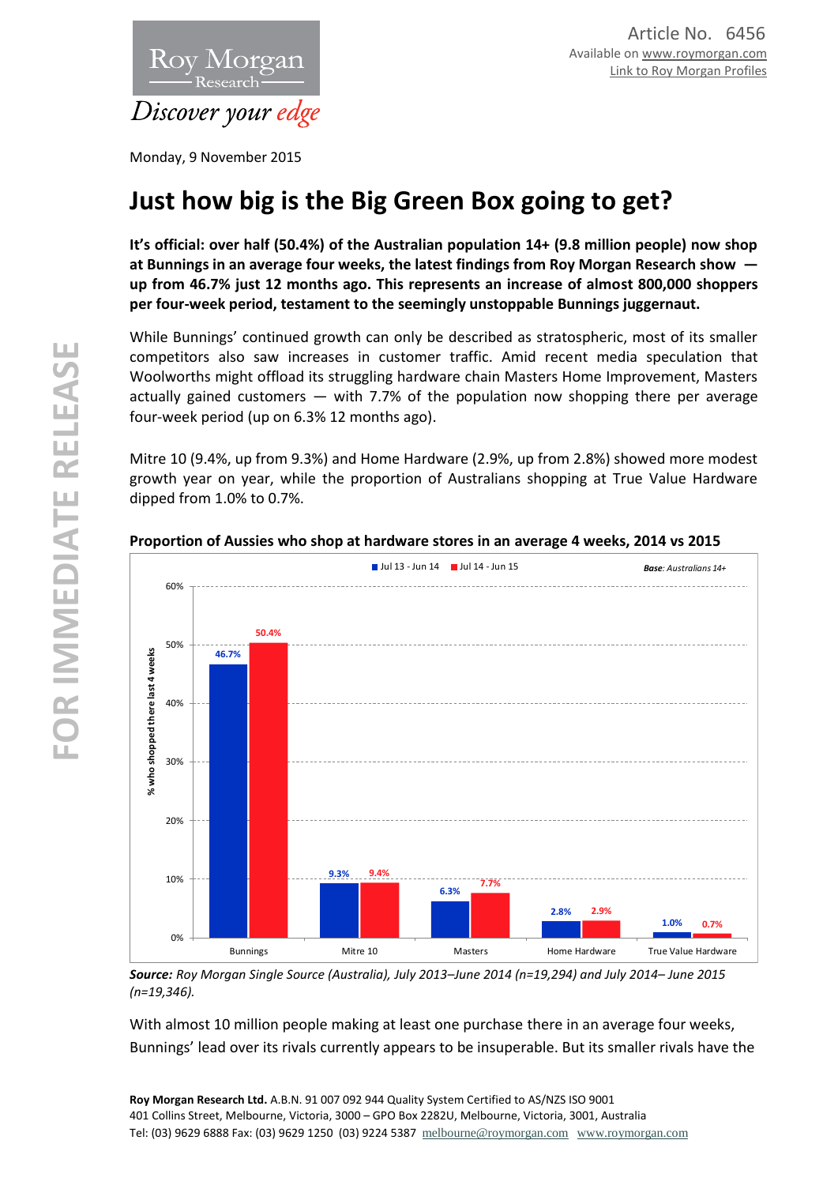

Monday, 9 November 2015

# **Just how big is the Big Green Box going to get?**

**It's official: over half (50.4%) of the Australian population 14+ (9.8 million people) now shop at Bunnings in an average four weeks, the latest findings from Roy Morgan Research show up from 46.7% just 12 months ago. This represents an increase of almost 800,000 shoppers per four-week period, testament to the seemingly unstoppable Bunnings juggernaut.**

While Bunnings' continued growth can only be described as stratospheric, most of its smaller competitors also saw increases in customer traffic. Amid recent media speculation that Woolworths might offload its struggling hardware chain Masters Home Improvement, Masters actually gained customers — with 7.7% of the population now shopping there per average four-week period (up on 6.3% 12 months ago).

Mitre 10 (9.4%, up from 9.3%) and Home Hardware (2.9%, up from 2.8%) showed more modest growth year on year, while the proportion of Australians shopping at True Value Hardware dipped from 1.0% to 0.7%.





*Source: Roy Morgan Single Source (Australia), July 2013–June 2014 (n=19,294) and July 2014– June 2015 (n=19,346).*

With almost 10 million people making at least one purchase there in an average four weeks, Bunnings' lead over its rivals currently appears to be insuperable. But its smaller rivals have the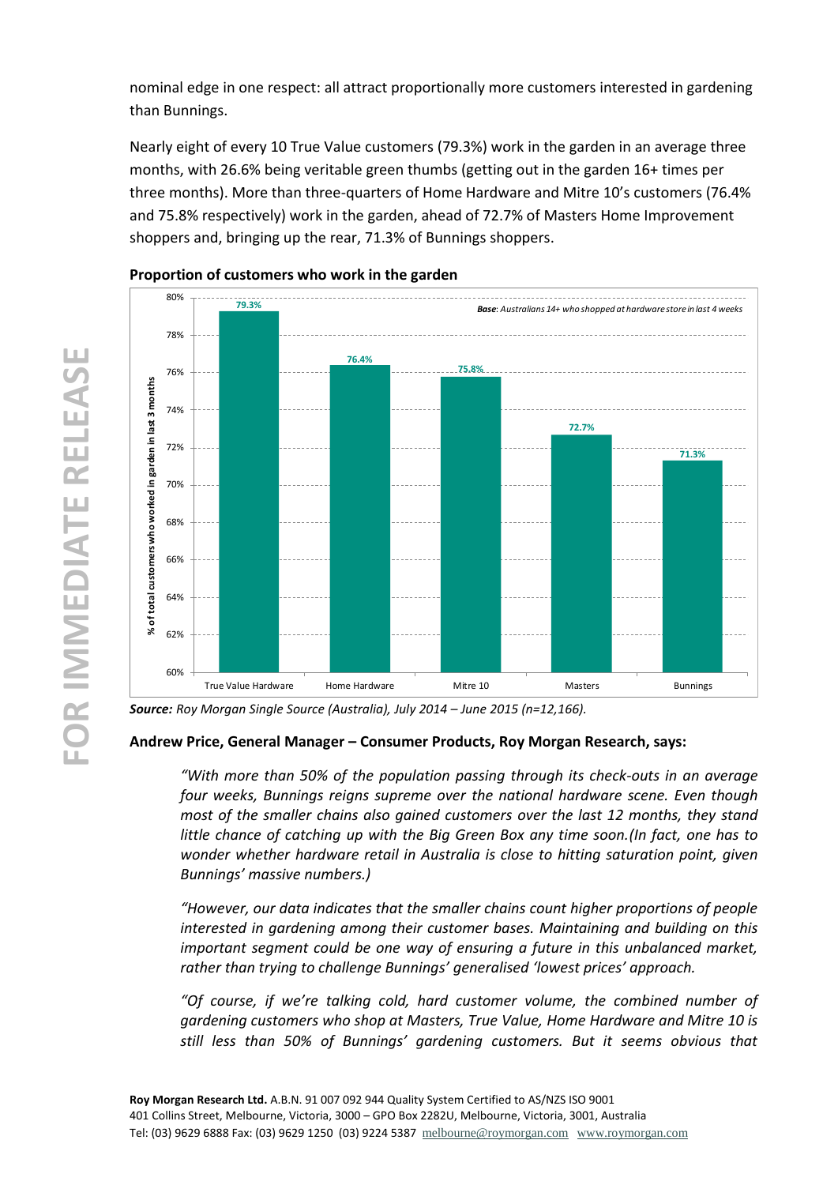nominal edge in one respect: all attract proportionally more customers interested in gardening than Bunnings.

Nearly eight of every 10 True Value customers (79.3%) work in the garden in an average three months, with 26.6% being veritable green thumbs (getting out in the garden 16+ times per three months). More than three-quarters of Home Hardware and Mitre 10's customers (76.4% and 75.8% respectively) work in the garden, ahead of 72.7% of Masters Home Improvement shoppers and, bringing up the rear, 71.3% of Bunnings shoppers.



# **Proportion of customers who work in the garden**

*Source: Roy Morgan Single Source (Australia), July 2014 – June 2015 (n=12,166).* 

# **Andrew Price, General Manager – Consumer Products, Roy Morgan Research, says:**

*"With more than 50% of the population passing through its check-outs in an average four weeks, Bunnings reigns supreme over the national hardware scene. Even though most of the smaller chains also gained customers over the last 12 months, they stand little chance of catching up with the Big Green Box any time soon.(In fact, one has to wonder whether hardware retail in Australia is close to hitting saturation point, given Bunnings' massive numbers.)*

*"However, our data indicates that the smaller chains count higher proportions of people interested in gardening among their customer bases. Maintaining and building on this important segment could be one way of ensuring a future in this unbalanced market, rather than trying to challenge Bunnings' generalised 'lowest prices' approach.*

*"Of course, if we're talking cold, hard customer volume, the combined number of gardening customers who shop at Masters, True Value, Home Hardware and Mitre 10 is still less than 50% of Bunnings' gardening customers. But it seems obvious that*